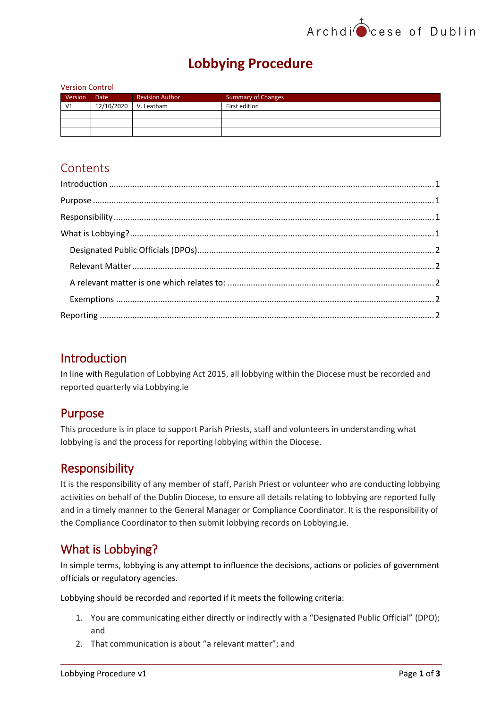## Archdi<sup>t</sup>cese of Dublin

## **Lobbying Procedure**

#### Version Control

| Version        | <b>Date</b> | <b>Revision Author</b> | <b>Summary of Changes</b> |
|----------------|-------------|------------------------|---------------------------|
| V <sub>1</sub> | 12/10/2020  | V. Leatham             | First edition             |
|                |             |                        |                           |
|                |             |                        |                           |
|                |             |                        |                           |

### **Contents**

### <span id="page-0-0"></span>Introduction

In line with Regulation of Lobbying Act 2015, all lobbying within the Diocese must be recorded and reported quarterly via Lobbying.ie

### <span id="page-0-1"></span>Purpose

This procedure is in place to support Parish Priests, staff and volunteers in understanding what lobbying is and the process for reporting lobbying within the Diocese.

### <span id="page-0-2"></span>Responsibility

It is the responsibility of any member of staff, Parish Priest or volunteer who are conducting lobbying activities on behalf of the Dublin Diocese, to ensure all details relating to lobbying are reported fully and in a timely manner to the General Manager or Compliance Coordinator. It is the responsibility of the Compliance Coordinator to then submit lobbying records on Lobbying.ie.

### <span id="page-0-3"></span>What is Lobbying?

In simple terms, lobbying is any attempt to influence the decisions, actions or policies of government officials or regulatory agencies.

Lobbying should be recorded and reported if it meets the following criteria:

- 1. You are communicating either directly or indirectly with a "Designated Public Official" (DPO); and
- 2. That communication is about "a relevant matter"; and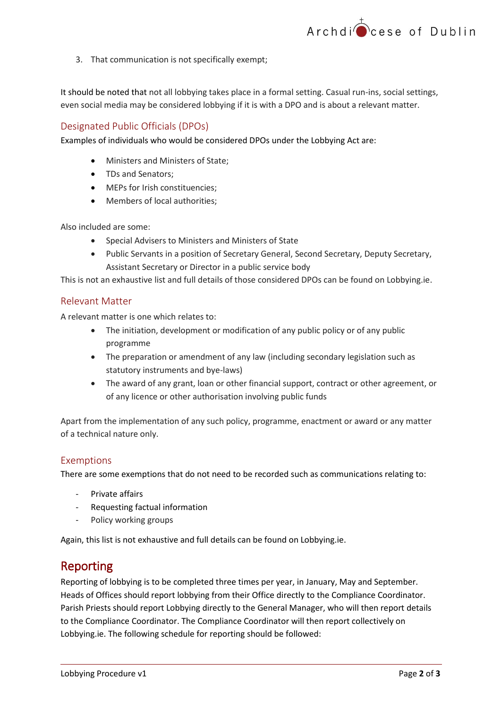

3. That communication is not specifically exempt;

It should be noted that not all lobbying takes place in a formal setting. Casual run-ins, social settings, even social media may be considered lobbying if it is with a DPO and is about a relevant matter.

#### <span id="page-1-0"></span>Designated Public Officials (DPOs)

Examples of individuals who would be considered DPOs under the Lobbying Act are:

- Ministers and Ministers of State;
- TDs and Senators;
- MEPs for Irish constituencies;
- Members of local authorities:

Also included are some:

- Special Advisers to Ministers and Ministers of State
- Public Servants in a position of Secretary General, Second Secretary, Deputy Secretary, Assistant Secretary or Director in a public service body

This is not an exhaustive list and full details of those considered DPOs can be found on Lobbying.ie.

#### <span id="page-1-1"></span>Relevant Matter

<span id="page-1-2"></span>A relevant matter is one which relates to:

- The initiation, development or modification of any public policy or of any public programme
- The preparation or amendment of any law (including secondary legislation such as statutory instruments and bye-laws)
- The award of any grant, loan or other financial support, contract or other agreement, or of any licence or other authorisation involving public funds

Apart from the implementation of any such policy, programme, enactment or award or any matter of a technical nature only.

#### <span id="page-1-3"></span>Exemptions

There are some exemptions that do not need to be recorded such as communications relating to:

- Private affairs
- Requesting factual information
- Policy working groups

Again, this list is not exhaustive and full details can be found on Lobbying.ie.

#### <span id="page-1-4"></span>Reporting

Reporting of lobbying is to be completed three times per year, in January, May and September. Heads of Offices should report lobbying from their Office directly to the Compliance Coordinator. Parish Priests should report Lobbying directly to the General Manager, who will then report details to the Compliance Coordinator. The Compliance Coordinator will then report collectively on Lobbying.ie. The following schedule for reporting should be followed: